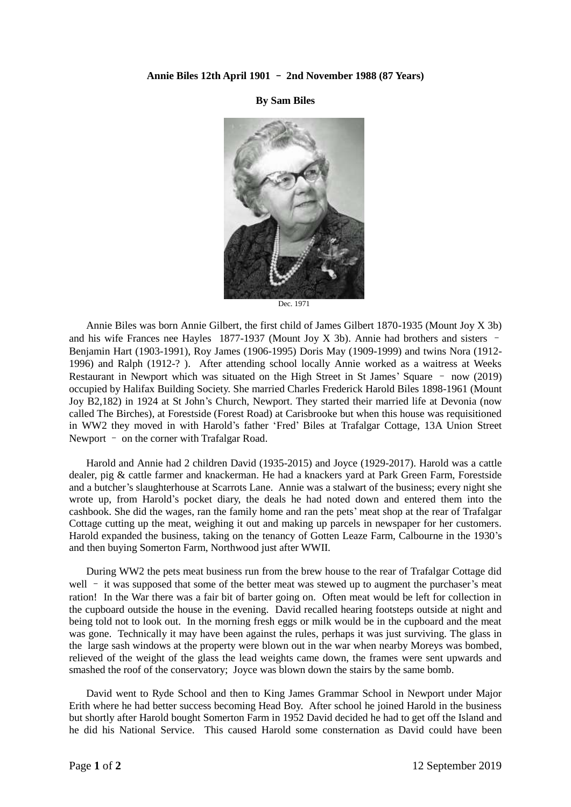## **Annie Biles 12th April 1901** – **2nd November 1988 (87 Years)**

**By Sam Biles**



Dec. 1971

Annie Biles was born Annie Gilbert, the first child of James Gilbert 1870-1935 (Mount Joy X 3b) and his wife Frances nee Hayles 1877-1937 (Mount Joy X 3b). Annie had brothers and sisters – Benjamin Hart (1903-1991), Roy James (1906-1995) Doris May (1909-1999) and twins Nora (1912- 1996) and Ralph (1912-? ). After attending school locally Annie worked as a waitress at Weeks Restaurant in Newport which was situated on the High Street in St James' Square – now (2019) occupied by Halifax Building Society. She married Charles Frederick Harold Biles 1898-1961 (Mount Joy B2,182) in 1924 at St John's Church, Newport. They started their married life at Devonia (now called The Birches), at Forestside (Forest Road) at Carisbrooke but when this house was requisitioned in WW2 they moved in with Harold's father 'Fred' Biles at Trafalgar Cottage, 13A Union Street Newport – on the corner with Trafalgar Road.

Harold and Annie had 2 children David (1935-2015) and Joyce (1929-2017). Harold was a cattle dealer, pig & cattle farmer and knackerman. He had a knackers yard at Park Green Farm, Forestside and a butcher's slaughterhouse at Scarrots Lane. Annie was a stalwart of the business; every night she wrote up, from Harold's pocket diary, the deals he had noted down and entered them into the cashbook. She did the wages, ran the family home and ran the pets' meat shop at the rear of Trafalgar Cottage cutting up the meat, weighing it out and making up parcels in newspaper for her customers. Harold expanded the business, taking on the tenancy of Gotten Leaze Farm, Calbourne in the 1930's and then buying Somerton Farm, Northwood just after WWII.

During WW2 the pets meat business run from the brew house to the rear of Trafalgar Cottage did well – it was supposed that some of the better meat was stewed up to augment the purchaser's meat ration! In the War there was a fair bit of barter going on. Often meat would be left for collection in the cupboard outside the house in the evening. David recalled hearing footsteps outside at night and being told not to look out. In the morning fresh eggs or milk would be in the cupboard and the meat was gone. Technically it may have been against the rules, perhaps it was just surviving. The glass in the large sash windows at the property were blown out in the war when nearby Moreys was bombed, relieved of the weight of the glass the lead weights came down, the frames were sent upwards and smashed the roof of the conservatory; Joyce was blown down the stairs by the same bomb.

David went to Ryde School and then to King James Grammar School in Newport under Major Erith where he had better success becoming Head Boy. After school he joined Harold in the business but shortly after Harold bought Somerton Farm in 1952 David decided he had to get off the Island and he did his National Service. This caused Harold some consternation as David could have been